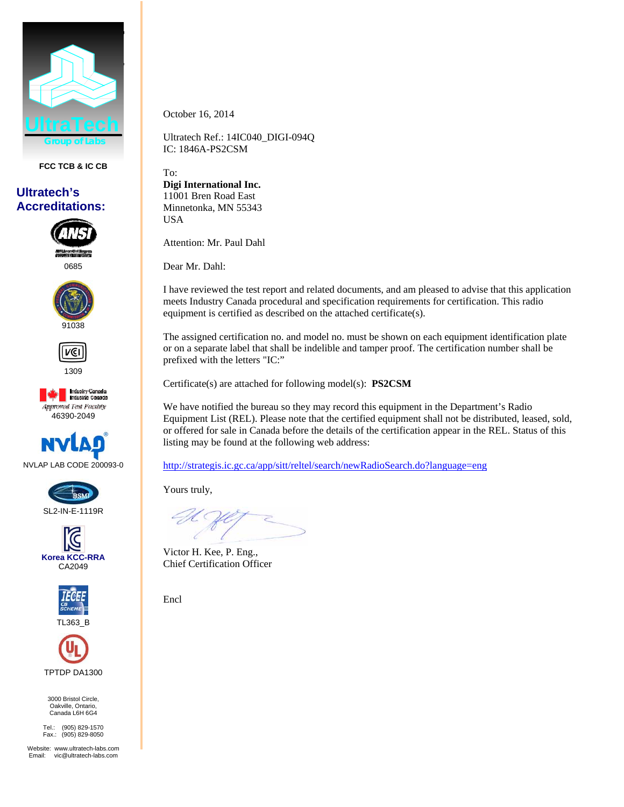

**FCC TCB & IC CB** 

## **Ultratech's Accreditations:**

0685





1309

**Industry Canada**<br>Industrie Canada Approved Test Facility 46390-2049











3000 Bristol Circle, Oakville, Ontario, Canada L6H 6G4

Tel.: (905) 829-1570 Fax.: (905) 829-8050

Website: www.ultratech-labs.com Email: vic@ultratech-labs.com

October 16, 2014

Ultratech Ref.: 14IC040\_DIGI-094Q IC: 1846A-PS2CSM

To: **Digi International Inc.**  11001 Bren Road East Minnetonka, MN 55343 USA

Attention: Mr. Paul Dahl

Dear Mr. Dahl:

I have reviewed the test report and related documents, and am pleased to advise that this application meets Industry Canada procedural and specification requirements for certification. This radio equipment is certified as described on the attached certificate(s).

The assigned certification no. and model no. must be shown on each equipment identification plate or on a separate label that shall be indelible and tamper proof. The certification number shall be prefixed with the letters "IC:"

Certificate(s) are attached for following model(s): **PS2CSM**

We have notified the bureau so they may record this equipment in the Department's Radio Equipment List (REL). Please note that the certified equipment shall not be distributed, leased, sold, or offered for sale in Canada before the details of the certification appear in the REL. Status of this listing may be found at the following web address:

http://strategis.ic.gc.ca/app/sitt/reltel/search/newRadioSearch.do?language=eng

Yours truly,

Victor H. Kee, P. Eng., Chief Certification Officer

Encl